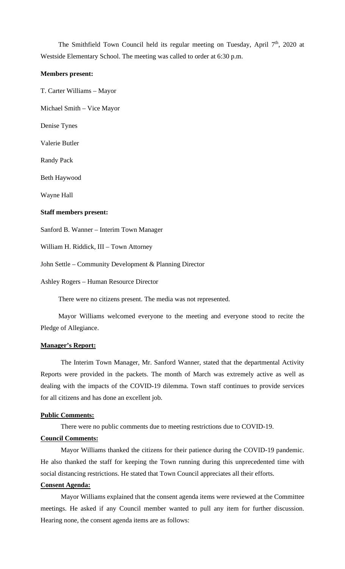The Smithfield Town Council held its regular meeting on Tuesday, April 7<sup>th</sup>, 2020 at Westside Elementary School. The meeting was called to order at 6:30 p.m.

### **Members present:**

T. Carter Williams – Mayor

Michael Smith – Vice Mayor

Denise Tynes

Valerie Butler

Randy Pack

Beth Haywood

Wayne Hall

#### **Staff members present:**

Sanford B. Wanner – Interim Town Manager

William H. Riddick, III – Town Attorney

John Settle – Community Development & Planning Director

Ashley Rogers – Human Resource Director

There were no citizens present. The media was not represented.

Mayor Williams welcomed everyone to the meeting and everyone stood to recite the Pledge of Allegiance.

### **Manager's Report:**

The Interim Town Manager, Mr. Sanford Wanner, stated that the departmental Activity Reports were provided in the packets. The month of March was extremely active as well as dealing with the impacts of the COVID-19 dilemma. Town staff continues to provide services for all citizens and has done an excellent job.

#### **Public Comments:**

There were no public comments due to meeting restrictions due to COVID-19.

### **Council Comments:**

Mayor Williams thanked the citizens for their patience during the COVID-19 pandemic. He also thanked the staff for keeping the Town running during this unprecedented time with social distancing restrictions. He stated that Town Council appreciates all their efforts.

### **Consent Agenda:**

Mayor Williams explained that the consent agenda items were reviewed at the Committee meetings. He asked if any Council member wanted to pull any item for further discussion. Hearing none, the consent agenda items are as follows: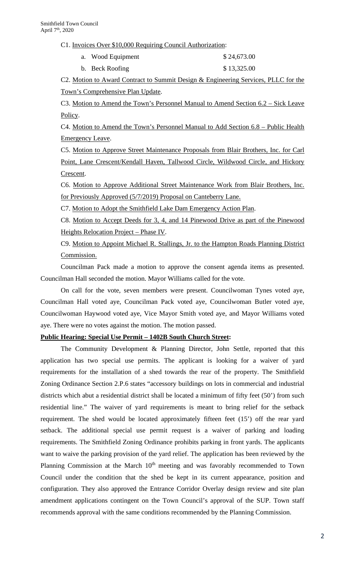C1. Invoices Over \$10,000 Requiring Council Authorization:

| a. Wood Equipment | \$24,673.00 |
|-------------------|-------------|
| b. Beck Roofing   | \$13,325.00 |

C2. Motion to Award Contract to Summit Design & Engineering Services, PLLC for the Town's Comprehensive Plan Update.

C3. Motion to Amend the Town's Personnel Manual to Amend Section 6.2 – Sick Leave Policy.

C4. Motion to Amend the Town's Personnel Manual to Add Section 6.8 – Public Health Emergency Leave.

C5. Motion to Approve Street Maintenance Proposals from Blair Brothers, Inc. for Carl Point, Lane Crescent/Kendall Haven, Tallwood Circle, Wildwood Circle, and Hickory Crescent.

C6. Motion to Approve Additional Street Maintenance Work from Blair Brothers, Inc. for Previously Approved (5/7/2019) Proposal on Canteberry Lane.

C7. Motion to Adopt the Smithfield Lake Dam Emergency Action Plan.

C8. Motion to Accept Deeds for 3, 4, and 14 Pinewood Drive as part of the Pinewood Heights Relocation Project – Phase IV.

C9. Motion to Appoint Michael R. Stallings, Jr. to the Hampton Roads Planning District Commission.

Councilman Pack made a motion to approve the consent agenda items as presented. Councilman Hall seconded the motion. Mayor Williams called for the vote.

On call for the vote, seven members were present. Councilwoman Tynes voted aye, Councilman Hall voted aye, Councilman Pack voted aye, Councilwoman Butler voted aye, Councilwoman Haywood voted aye, Vice Mayor Smith voted aye, and Mayor Williams voted aye. There were no votes against the motion. The motion passed.

### **Public Hearing: Special Use Permit – 1402B South Church Street:**

The Community Development & Planning Director, John Settle, reported that this application has two special use permits. The applicant is looking for a waiver of yard requirements for the installation of a shed towards the rear of the property. The Smithfield Zoning Ordinance Section 2.P.6 states "accessory buildings on lots in commercial and industrial districts which abut a residential district shall be located a minimum of fifty feet (50') from such residential line." The waiver of yard requirements is meant to bring relief for the setback requirement. The shed would be located approximately fifteen feet (15') off the rear yard setback. The additional special use permit request is a waiver of parking and loading requirements. The Smithfield Zoning Ordinance prohibits parking in front yards. The applicants want to waive the parking provision of the yard relief. The application has been reviewed by the Planning Commission at the March  $10<sup>th</sup>$  meeting and was favorably recommended to Town Council under the condition that the shed be kept in its current appearance, position and configuration. They also approved the Entrance Corridor Overlay design review and site plan amendment applications contingent on the Town Council's approval of the SUP. Town staff recommends approval with the same conditions recommended by the Planning Commission.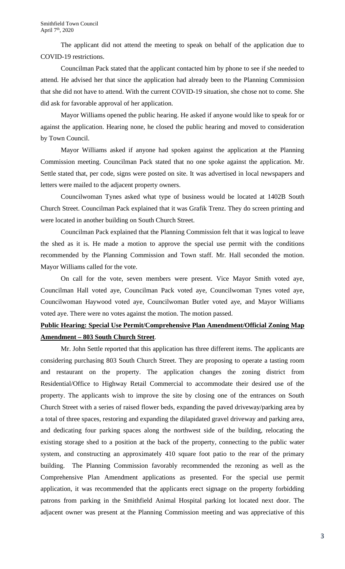The applicant did not attend the meeting to speak on behalf of the application due to COVID-19 restrictions.

Councilman Pack stated that the applicant contacted him by phone to see if she needed to attend. He advised her that since the application had already been to the Planning Commission that she did not have to attend. With the current COVID-19 situation, she chose not to come. She did ask for favorable approval of her application.

Mayor Williams opened the public hearing. He asked if anyone would like to speak for or against the application. Hearing none, he closed the public hearing and moved to consideration by Town Council.

Mayor Williams asked if anyone had spoken against the application at the Planning Commission meeting. Councilman Pack stated that no one spoke against the application. Mr. Settle stated that, per code, signs were posted on site. It was advertised in local newspapers and letters were mailed to the adjacent property owners.

Councilwoman Tynes asked what type of business would be located at 1402B South Church Street. Councilman Pack explained that it was Grafik Trenz. They do screen printing and were located in another building on South Church Street.

Councilman Pack explained that the Planning Commission felt that it was logical to leave the shed as it is. He made a motion to approve the special use permit with the conditions recommended by the Planning Commission and Town staff. Mr. Hall seconded the motion. Mayor Williams called for the vote.

On call for the vote, seven members were present. Vice Mayor Smith voted aye, Councilman Hall voted aye, Councilman Pack voted aye, Councilwoman Tynes voted aye, Councilwoman Haywood voted aye, Councilwoman Butler voted aye, and Mayor Williams voted aye. There were no votes against the motion. The motion passed.

# **Public Hearing: Special Use Permit/Comprehensive Plan Amendment/Official Zoning Map Amendment – 803 South Church Street**.

Mr. John Settle reported that this application has three different items. The applicants are considering purchasing 803 South Church Street. They are proposing to operate a tasting room and restaurant on the property. The application changes the zoning district from Residential/Office to Highway Retail Commercial to accommodate their desired use of the property. The applicants wish to improve the site by closing one of the entrances on South Church Street with a series of raised flower beds, expanding the paved driveway/parking area by a total of three spaces, restoring and expanding the dilapidated gravel driveway and parking area, and dedicating four parking spaces along the northwest side of the building, relocating the existing storage shed to a position at the back of the property, connecting to the public water system, and constructing an approximately 410 square foot patio to the rear of the primary building. The Planning Commission favorably recommended the rezoning as well as the Comprehensive Plan Amendment applications as presented. For the special use permit application, it was recommended that the applicants erect signage on the property forbidding patrons from parking in the Smithfield Animal Hospital parking lot located next door. The adjacent owner was present at the Planning Commission meeting and was appreciative of this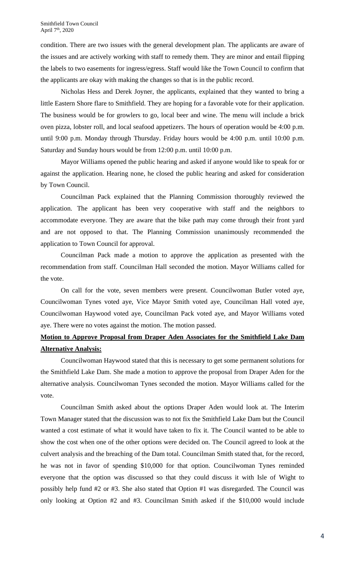condition. There are two issues with the general development plan. The applicants are aware of the issues and are actively working with staff to remedy them. They are minor and entail flipping the labels to two easements for ingress/egress. Staff would like the Town Council to confirm that the applicants are okay with making the changes so that is in the public record.

Nicholas Hess and Derek Joyner, the applicants, explained that they wanted to bring a little Eastern Shore flare to Smithfield. They are hoping for a favorable vote for their application. The business would be for growlers to go, local beer and wine. The menu will include a brick oven pizza, lobster roll, and local seafood appetizers. The hours of operation would be 4:00 p.m. until 9:00 p.m. Monday through Thursday. Friday hours would be 4:00 p.m. until 10:00 p.m. Saturday and Sunday hours would be from 12:00 p.m. until 10:00 p.m.

Mayor Williams opened the public hearing and asked if anyone would like to speak for or against the application. Hearing none, he closed the public hearing and asked for consideration by Town Council.

Councilman Pack explained that the Planning Commission thoroughly reviewed the application. The applicant has been very cooperative with staff and the neighbors to accommodate everyone. They are aware that the bike path may come through their front yard and are not opposed to that. The Planning Commission unanimously recommended the application to Town Council for approval.

Councilman Pack made a motion to approve the application as presented with the recommendation from staff. Councilman Hall seconded the motion. Mayor Williams called for the vote.

On call for the vote, seven members were present. Councilwoman Butler voted aye, Councilwoman Tynes voted aye, Vice Mayor Smith voted aye, Councilman Hall voted aye, Councilwoman Haywood voted aye, Councilman Pack voted aye, and Mayor Williams voted aye. There were no votes against the motion. The motion passed.

# **Motion to Approve Proposal from Draper Aden Associates for the Smithfield Lake Dam Alternative Analysis:**

Councilwoman Haywood stated that this is necessary to get some permanent solutions for the Smithfield Lake Dam. She made a motion to approve the proposal from Draper Aden for the alternative analysis. Councilwoman Tynes seconded the motion. Mayor Williams called for the vote.

Councilman Smith asked about the options Draper Aden would look at. The Interim Town Manager stated that the discussion was to not fix the Smithfield Lake Dam but the Council wanted a cost estimate of what it would have taken to fix it. The Council wanted to be able to show the cost when one of the other options were decided on. The Council agreed to look at the culvert analysis and the breaching of the Dam total. Councilman Smith stated that, for the record, he was not in favor of spending \$10,000 for that option. Councilwoman Tynes reminded everyone that the option was discussed so that they could discuss it with Isle of Wight to possibly help fund #2 or #3. She also stated that Option #1 was disregarded. The Council was only looking at Option #2 and #3. Councilman Smith asked if the \$10,000 would include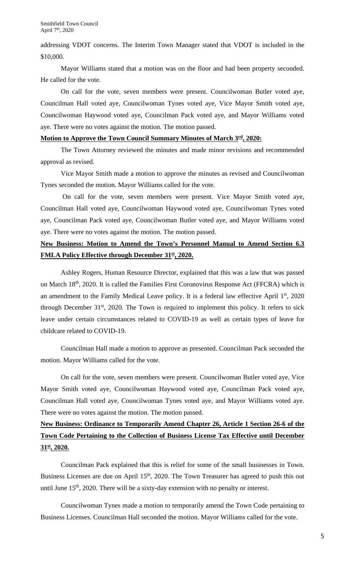addressing VDOT concerns. The Interim Town Manager stated that VDOT is included in the \$10,000.

Mayor Williams stated that a motion was on the floor and had been property seconded. He called for the vote.

On call for the vote, seven members were present. Councilwoman Butler voted aye, Councilman Hall voted aye, Councilwoman Tynes voted aye, Vice Mayor Smith voted aye, Councilwoman Haywood voted aye, Councilman Pack voted aye, and Mayor Williams voted aye. There were no votes against the motion. The motion passed.

#### **Motion to Approve the Town Council Summary Minutes of March 3rd, 2020:**

The Town Attorney reviewed the minutes and made minor revisions and recommended approval as revised.

Vice Mayor Smith made a motion to approve the minutes as revised and Councilwoman Tynes seconded the motion. Mayor Williams called for the vote.

On call for the vote, seven members were present. Vice Mayor Smith voted aye, Councilman Hall voted aye, Councilwoman Haywood voted aye, Councilwoman Tynes voted aye, Councilman Pack voted aye, Councilwoman Butler voted aye, and Mayor Williams voted aye. There were no votes against the motion. The motion passed.

### **New Business: Motion to Amend the Town's Personnel Manual to Amend Section 6.3 FMLA Policy Effective through December 31st, 2020.**

Ashley Rogers, Human Resource Director, explained that this was a law that was passed on March 18<sup>th</sup>, 2020. It is called the Families First Coronovirus Response Act (FFCRA) which is an amendment to the Family Medical Leave policy. It is a federal law effective April  $1<sup>st</sup>$ , 2020 through December  $31<sup>st</sup>$ , 2020. The Town is required to implement this policy. It refers to sick leave under certain circumstances related to COVID-19 as well as certain types of leave for childcare related to COVID-19.

Councilman Hall made a motion to approve as presented. Councilman Pack seconded the motion. Mayor Williams called for the vote.

On call for the vote, seven members were present. Councilwoman Butler voted aye, Vice Mayor Smith voted aye, Councilwoman Haywood voted aye, Councilman Pack voted aye, Councilman Hall voted aye, Councilwoman Tynes voted aye, and Mayor Williams voted aye. There were no votes against the motion. The motion passed.

# **New Business: Ordinance to Temporarily Amend Chapter 26, Article 1 Section 26-6 of the Town Code Pertaining to the Collection of Business License Tax Effective until December 31st, 2020.**

Councilman Pack explained that this is relief for some of the small businesses in Town. Business Licenses are due on April 15<sup>th</sup>, 2020. The Town Treasurer has agreed to push this out until June  $15<sup>th</sup>$ , 2020. There will be a sixty-day extension with no penalty or interest.

Councilwoman Tynes made a motion to temporarily amend the Town Code pertaining to Business Licenses. Councilman Hall seconded the motion. Mayor Williams called for the vote.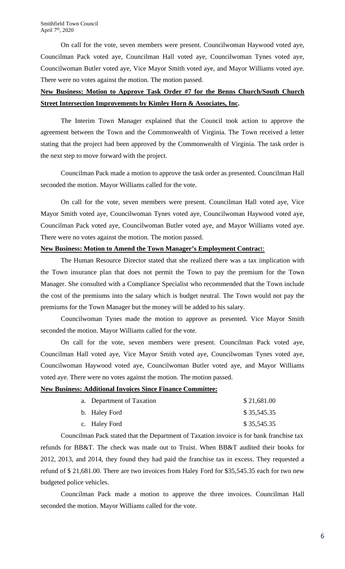On call for the vote, seven members were present. Councilwoman Haywood voted aye, Councilman Pack voted aye, Councilman Hall voted aye, Councilwoman Tynes voted aye, Councilwoman Butler voted aye, Vice Mayor Smith voted aye, and Mayor Williams voted aye. There were no votes against the motion. The motion passed.

# **New Business: Motion to Approve Task Order #7 for the Benns Church/South Church Street Intersection Improvements by Kimley Horn & Associates, Inc.**

The Interim Town Manager explained that the Council took action to approve the agreement between the Town and the Commonwealth of Virginia. The Town received a letter stating that the project had been approved by the Commonwealth of Virginia. The task order is the next step to move forward with the project.

Councilman Pack made a motion to approve the task order as presented. Councilman Hall seconded the motion. Mayor Williams called for the vote.

On call for the vote, seven members were present. Councilman Hall voted aye, Vice Mayor Smith voted aye, Councilwoman Tynes voted aye, Councilwoman Haywood voted aye, Councilman Pack voted aye, Councilwoman Butler voted aye, and Mayor Williams voted aye. There were no votes against the motion. The motion passed.

### **New Business: Motion to Amend the Town Manager's Employment Contrac**t:

The Human Resource Director stated that she realized there was a tax implication with the Town insurance plan that does not permit the Town to pay the premium for the Town Manager. She consulted with a Compliance Specialist who recommended that the Town include the cost of the premiums into the salary which is budget neutral. The Town would not pay the premiums for the Town Manager but the money will be added to his salary.

Councilwoman Tynes made the motion to approve as presented. Vice Mayor Smith seconded the motion. Mayor Williams called for the vote.

On call for the vote, seven members were present. Councilman Pack voted aye, Councilman Hall voted aye, Vice Mayor Smith voted aye, Councilwoman Tynes voted aye, Councilwoman Haywood voted aye, Councilwoman Butler voted aye, and Mayor Williams voted aye. There were no votes against the motion. The motion passed.

### **New Business: Additional Invoices Since Finance Committee:**

| a. Department of Taxation | \$21,681.00 |
|---------------------------|-------------|
| b. Haley Ford             | \$35,545.35 |
| c. Haley Ford             | \$35,545.35 |

Councilman Pack stated that the Department of Taxation invoice is for bank franchise tax refunds for BB&T. The check was made out to Truist. When BB&T audited their books for 2012, 2013, and 2014, they found they had paid the franchise tax in excess. They requested a refund of \$ 21,681.00. There are two invoices from Haley Ford for \$35,545.35 each for two new budgeted police vehicles.

Councilman Pack made a motion to approve the three invoices. Councilman Hall seconded the motion. Mayor Williams called for the vote.